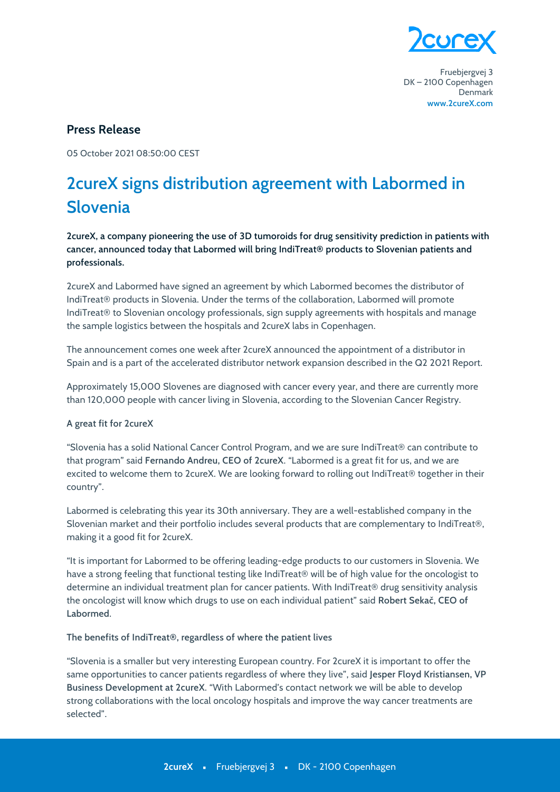

Fruebjergvej 3 DK-2100 Copenhagen Denmark www.2cureX.com

# **Press Release**

05 October 2021 08:50:00 CEST

# 2 cureX signs distribution agreement with Labormed in **Slovenia**

2cureX, a company pioneering the use of 3D tumoroids for drug sensitivity prediction in patients with cancer, announced today that Labormed will bring IndiTreat® products to Slovenian patients and professionals.

2cureX and Labormed have signed an agreement by which Labormed becomes the distributor of IndiTreat® products in Slovenia. Under the terms of the collaboration, Labormed will promote IndiTreat® to Slovenian oncology professionals, sign supply agreements with hospitals and manage the sample logistics between the hospitals and 2cureX labs in Copenhagen.

The announcement comes one week after 2cureX announced the appointment of a distributor in Spain and is a part of the accelerated distributor network expansion described in the Q2 2021 Report.

Approximately 15,000 Slovenes are diagnosed with cancer every year, and there are currently more than 120,000 people with cancer living in Slovenia, according to the Slovenian Cancer Registry.

# A great fit for 2cureX

"Slovenia has a solid National Cancer Control Program, and we are sure IndiTreat® can contribute to that program" said Fernando Andreu, CEO of 2cureX. "Labormed is a great fit for us, and we are excited to welcome them to 2cureX. We are looking forward to rolling out IndiTreat® together in their country".

Labormed is celebrating this year its 30th anniversary. They are a well-established company in the Slovenian market and their portfolio includes several products that are complementary to IndiTreat®, making it a good fit for 2cureX.

"It is important for Labormed to be offering leading-edge products to our customers in Slovenia. We have a strong feeling that functional testing like IndiTreat® will be of high value for the oncologist to determine an individual treatment plan for cancer patients. With IndiTreat® drug sensitivity analysis the oncologist will know which drugs to use on each individual patient" said Robert Sekač, CEO of Labormed.

#### The benefits of IndiTreat®, regardless of where the patient lives

"Slovenia is a smaller but very interesting European country. For 2cureX it is important to offer the same opportunities to cancer patients regardless of where they live", said Jesper Floyd Kristiansen, VP Business Development at 2cureX. "With Labormed's contact network we will be able to develop strong collaborations with the local oncology hospitals and improve the way cancer treatments are selected"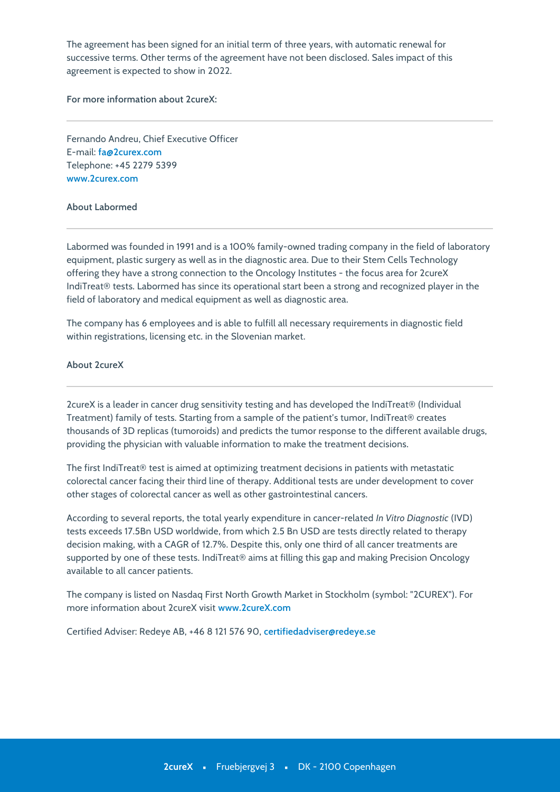The agreement has been signed for an initial term of three years, with automatic renewal for successive terms. Other terms of the agreement have not been disclosed. Sales impact of this agreement is expected to show in 2022.

**For more information about 2cureX:**

Fernando Andreu, Chief Executive Officer E-mail: **fa@2curex.com** Telephone: +45 2279 5399 **[www.2curex.com](http://www.2curex.com/)**

### **About Labormed**

Labormed was founded in 1991 and is a 100% family-owned trading company in the field of laboratory equipment, plastic surgery as well as in the diagnostic area. Due to their Stem Cells Technology offering they have a strong connection to the Oncology Institutes - the focus area for 2cureX IndiTreat® tests. Labormed has since its operational start been a strong and recognized player in the field of laboratory and medical equipment as well as diagnostic area.

The company has 6 employees and is able to fulfill all necessary requirements in diagnostic field within registrations, licensing etc. in the Slovenian market.

# **About 2cureX**

2cureX is a leader in cancer drug sensitivity testing and has developed the IndiTreat® (Individual Treatment) family of tests. Starting from a sample of the patient's tumor, IndiTreat® creates thousands of 3D replicas (tumoroids) and predicts the tumor response to the different available drugs, providing the physician with valuable information to make the treatment decisions.

The first IndiTreat® test is aimed at optimizing treatment decisions in patients with metastatic colorectal cancer facing their third line of therapy. Additional tests are under development to cover other stages of colorectal cancer as well as other gastrointestinal cancers.

According to several reports, the total yearly expenditure in cancer-related *In Vitro Diagnostic* (IVD) tests exceeds 17.5Bn USD worldwide, from which 2.5 Bn USD are tests directly related to therapy decision making, with a CAGR of 12.7%. Despite this, only one third of all cancer treatments are supported by one of these tests. IndiTreat® aims at filling this gap and making Precision Oncology available to all cancer patients.

The company is listed on Nasdaq First North Growth Market in Stockholm (symbol: "ǻCUREX"). For more information about 2cureX visit [www.2cureX.com](http://www.2cureX.com)

Certified Adviser: Redeye AB, +ǽǿ ȁ ǺǻǺ ǾȀǿ Ȃǹ, **certifiedadviser@redeye.se**